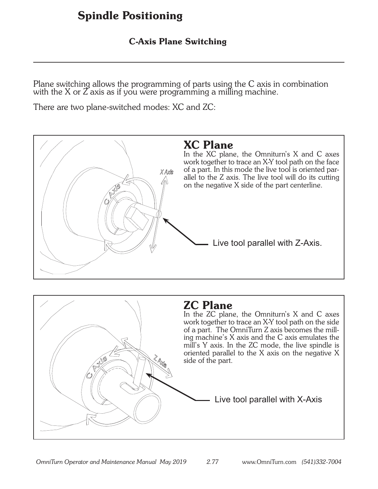### C-Axis Plane Switching

Plane switching allows the programming of parts using the C axis in combination with the X or  $\zeta$  axis as if you were programming a milling machine.

There are two plane-switched modes: XC and ZC:



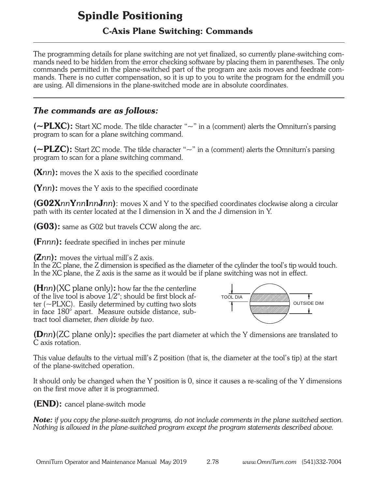### C-Axis Plane Switching: Commands

The programming details for plane switching are not yet finalized, so currently plane-switching commands need to be hidden from the error checking software by placing them in parentheses. The only commands permitted in the plane-switched part of the program are axis moves and feedrate commands. There is no cutter compensation, so it is up to you to write the program for the endmill you are using. All dimensions in the plane-switched mode are in absolute coordinates.

#### *The commands are as follows:*

( $\sim$ PLXC): Start XC mode. The tilde character " $\sim$ " in a (comment) alerts the Omniturn's parsing program to scan for a plane switching command.

( $\sim$ PLZC): Start ZC mode. The tilde character " $\sim$ " in a (comment) alerts the Omniturn's parsing program to scan for a plane switching command.

(X*nn*): moves the X axis to the specified coordinate

(Y*nn*): moves the Y axis to the specified coordinate

(G02X*nn*Y*nn*I*nn*J*nn*): moves X and Y to the specified coordinates clockwise along a circular path with its center located at the I dimension in X and the J dimension in Y.

**(G03):** same as G02 but travels CCW along the arc.

(F*nnn*): feedrate specified in inches per minute

(Z*nn*): moves the virtual mill's Z axis.

In the ZC plane, the Z dimension is specified as the diameter of the cylinder the tool's tip would touch. In the XC plane, the Z axis is the same as it would be if plane switching was not in effect.

(H*nn*)(XC plane only): how far the the centerline of the live tool is above  $1/2$ "; should be first block after (~PLXC). Easily determined by cutting two slots in face 180° apart. Measure outside distance, subtract tool diameter, *then divide by two*.



(D*nn*)(ZC plane only): specifies the part diameter at which the Y dimensions are translated to C axis rotation.

This value defaults to the virtual mill's Z position (that is, the diameter at the tool's tip) at the start of the plane-switched operation.

It should only be changed when the Y position is 0, since it causes a re-scaling of the Y dimensions on the first move after it is programmed.

(END): cancel plane-switch mode

*Note: if you copy the plane-switch programs, do not include comments in the plane switched section. Nothing is allowed in the plane-switched program except the program statements described above.*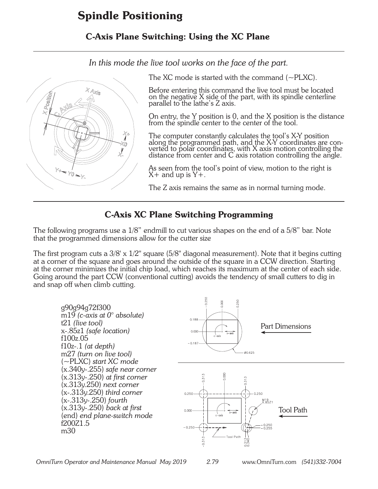### C-Axis Plane Switching: Using the XC Plane

*In this mode the live tool works on the face of the part.*



The XC mode is started with the command  $(\sim$ PLXC).

Before entering this command the live tool must be located on the negative X side of the part, with its spindle centerline parallel to the lathe's Z axis.

On entry, the Y position is 0, and the X position is the distance from the spindle center to the center of the tool.

The computer constantly calculates the tool's X-Y position along the programmed path, and the X-Y coordinates are converted to polar coordinates, with X axis motion controlling the distance from center and C axis rotation controlling the angle.

As seen from the tool's point of view, motion to the right is  $X+$  and up is  $Y+$ .

The Z axis remains the same as in normal turning mode.

### C-Axis XC Plane Switching Programming

The following programs use a 1/8" endmill to cut various shapes on the end of a 5/8" bar. Note that the programmed dimensions allow for the cutter size

The first program cuts a  $3/8$ ' x  $1/2$ " square (5/8" diagonal measurement). Note that it begins cutting at a corner of the square and goes around the outside of the square in a CCW direction. Starting at the corner minimizes the initial chip load, which reaches its maximum at the center of each side. Going around the part CCW (conventional cutting) avoids the tendency of small cutters to dig in and snap off when climb cutting.

0.250 g90g94g72f300 m19 *(c-axis at 0° absolute)*   $0.188$ t21 *(live tool)* Part Dimensions x-.85z1 *(safe location)*  $0.000$ f100z.05  $-0.18$ f10z-.1 *(at depth)* 00 625 m27 *(turn on live tool)* (~PLXC) *start XC mode* (x.340y-.255) *safe near corner* n oon  $0.313$ (x.313y-.250) *at first corner*  $0.313$ (x.313y.250) *next corner* (x-.313y.250) *third corner*  $0.250$  $0.250$ (x-.313y-.250) *fourth* M<sub>19</sub><br>X.85Z1 (x.313y-.250) *back at first* Tool Path  $0.000$ (end) *end plane-switch mode* f200Z1.5  $0.250$ <br> $0.255$  $-0.250$ m30

*OmniTurn Operator and Maintenance Manual May 2019 2.79* www.OmniTurn.com *(541)332-7004*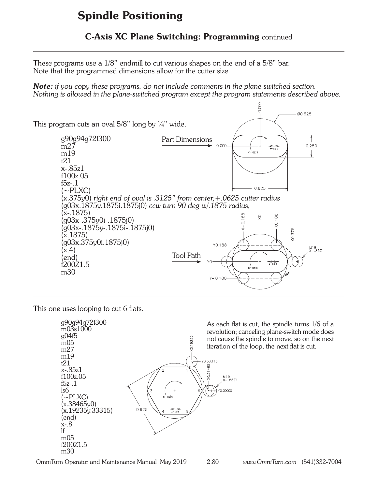#### C-Axis XC Plane Switching: Programming continued

These programs use a 1/8" endmill to cut various shapes on the end of a 5/8" bar. Note that the programmed dimensions allow for the cutter size

*Note: if you copy these programs, do not include comments in the plane switched section. Nothing is allowed in the plane-switched program except the program statements described above.*



This one uses looping to cut 6 flats.



OmniTurn Operator and Maintenance Manual May 2019 2.80 *www.OmniTurn.com* (541)332-7004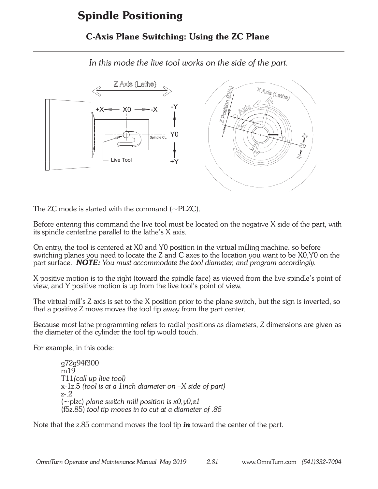### C-Axis Plane Switching: Using the ZC Plane

*In this mode the live tool works on the side of the part.*



The ZC mode is started with the command  $(-PLZC)$ .

Before entering this command the live tool must be located on the negative X side of the part, with its spindle centerline parallel to the lathe's X axis.

On entry, the tool is centered at X0 and Y0 position in the virtual milling machine, so before switching planes you need to locate the Z and C axes to the location you want to be X0,Y0 on the part surface. *NOTE: You must accommodate the tool diameter, and program accordingly.*

X positive motion is to the right (toward the spindle face) as viewed from the live spindle's point of view, and Y positive motion is up from the live tool's point of view.

The virtual mill's Z axis is set to the X position prior to the plane switch, but the sign is inverted, so that a positive Z move moves the tool tip away from the part center.

Because most lathe programming refers to radial positions as diameters, Z dimensions are given as the diameter of the cylinder the tool tip would touch.

For example, in this code:

g72g94f300  $m19$ T11*(call up live tool)* x-1z.5 *(tool is at a 1inch diameter on –X side of part)* z-.2 (~plzc) *plane switch mill position is x0,y0,z1* (f5z.85) *tool tip moves in to cut at a diameter of .85*

Note that the z.85 command moves the tool tip *in* toward the center of the part.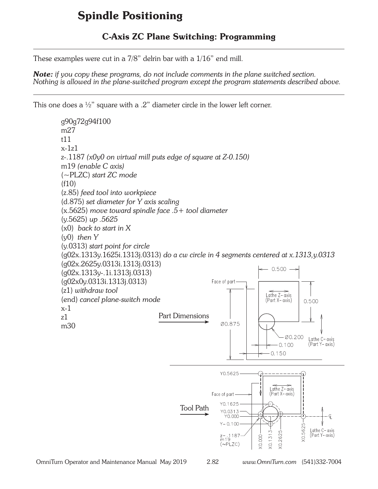### C-Axis ZC Plane Switching: Programming

These examples were cut in a 7/8" delrin bar with a 1/16" end mill.

*Note: if you copy these programs, do not include comments in the plane switched section. Nothing is allowed in the plane-switched program except the program statements described above.*

This one does a  $\frac{1}{2}$ " square with a .2" diameter circle in the lower left corner.

g90g72g94f100 m27 t11 x-1z1 z-.1187 *(x0y0 on virtual mill puts edge of square at Z-0.150)* m19 *(enable C axis)* (~PLZC) *start ZC mode*  $(f10)$ (z.85) *feed tool into workpiece* (d.875) *set diameter for Y axis scaling* (x.5625) *move toward spindle face .5+ tool diameter* (y.5625) *up .5625* (x0) *back to start in X* (y0) *then Y* (y.0313) *start point for circle* (g02x.1313y.1625i.1313j.0313) *do a cw circle in 4 segments centered at x.1313,y.0313* (g02x.2625y.0313i.1313j.0313)  $0.500$ (g02x.1313y-.1i.1313j.0313) (g02x0y.0313i.1313j.0313) Face of part (z1) *withdraw tool* Lathe Z- axis (end) *cancel plane-switch mode* (Part X-axis)  $0.500$ x-1 Part Dimensionsz1 00.875 m30 Ø0.200 Lathe C- axis  $0.100$ (Part Y-axis)  $0.150$ Y0.5625 Lathe  $Z-\overline{axis}$ <br>(Part X-axis) Face of part-Y0.1625 Tool Path Y0.0313 Y0.000  $Y - 0.100$  $(0.5625)$ Lathe C-axis<br>(Part Y-axis)  $X0.1313$ **X0.2625**  $\frac{z-1187}{m19}$ X0.000  $(\sim$ PLZC)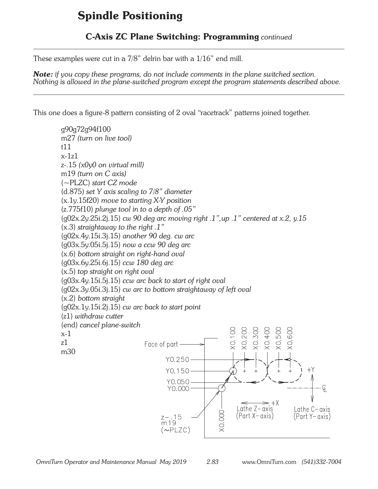### C-Axis ZC Plane Switching: Programming *continued*

These examples were cut in a 7/8" delrin bar with a 1/16" end mill.

*Note: if you copy these programs, do not include comments in the plane switched section. Nothing is allowed in the plane-switched program except the program statements described above.*

This one does a figure-8 pattern consisting of 2 oval "racetrack" patterns joined together.

g90g72g94f100 m27 *(turn on live tool)* t11  $x-1z1$ z-.15 *(x0y0 on virtual mill)* m19 *(turn on C axis)* (~PLZC) *start CZ mode* (d.875) *set Y axis scaling to 7/8" diameter* (x.1y.15f20) *move to starting X-Y position* (z.775f10) *plunge tool in to a depth of .05"* (g02x.2y.25i.2j.15) *cw 90 deg arc moving right .1",up .1" centered at x.2, y.15* (x.3) *straightaway to the right .1"* (g02x.4y.15i.3j.15) *another 90 deg. cw arc* (g03x.5y.05i.5j.15) *now a ccw 90 deg arc* (x.6) *bottom straight on right-hand oval* (g03x.6y.25i.6j.15) *ccw 180 deg arc* (x.5) *top straight on right oval* (g03x.4y.15i.5j.15) *ccw arc back to start of right oval* (g02x.3y.05i.3j.15) *cw arc to bottom straightaway of left oval* (x.2) *bottom straight* (g02x.1y.15i.2j.15) *cw arc back to start point* (z1) *withdraw cutter* (end) *cancel plane-switch* X0.200 X0.300 **XO.100 XO.400**  $305.0$ X0.60C x-1 z1 Face of part m30 Y0.250  $Y0.150 Y<sub>0.050</sub>$  $Y0.000 \cdot$  $\mathord{=}\, +\lambda$ Lathe  $Z-\overline{a}x$  is Lathe C-axis **XO.OOO**  $z - .15$ <br>m 19 (Part X– axis) (Part Y– axis)  $(\sim$ PLZC)